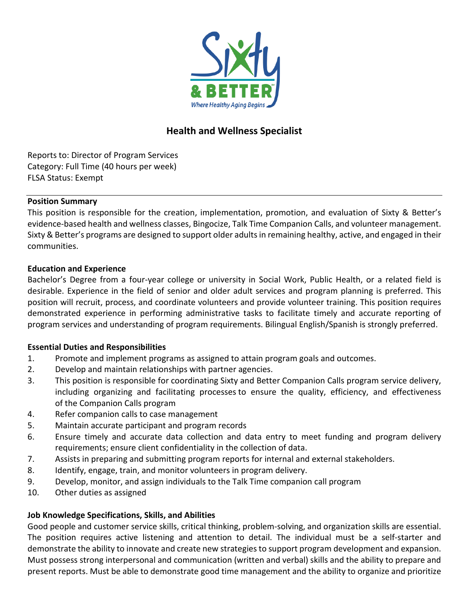

# **Health and Wellness Specialist**

Reports to: Director of Program Services Category: Full Time (40 hours per week) FLSA Status: Exempt

### **Position Summary**

This position is responsible for the creation, implementation, promotion, and evaluation of Sixty & Better's evidence-based health and wellness classes, Bingocize, Talk Time Companion Calls, and volunteer management. Sixty & Better's programs are designed to support older adults in remaining healthy, active, and engaged in their communities.

## **Education and Experience**

Bachelor's Degree from a four-year college or university in Social Work, Public Health, or a related field is desirable. Experience in the field of senior and older adult services and program planning is preferred. This position will recruit, process, and coordinate volunteers and provide volunteer training. This position requires demonstrated experience in performing administrative tasks to facilitate timely and accurate reporting of program services and understanding of program requirements. Bilingual English/Spanish is strongly preferred.

## **Essential Duties and Responsibilities**

- 1. Promote and implement programs as assigned to attain program goals and outcomes.
- 2. Develop and maintain relationships with partner agencies.
- 3. This position is responsible for coordinating Sixty and Better Companion Calls program service delivery, including organizing and facilitating processes to ensure the quality, efficiency, and effectiveness of the Companion Calls program
- 4. Refer companion calls to case management
- 5. Maintain accurate participant and program records
- 6. Ensure timely and accurate data collection and data entry to meet funding and program delivery requirements; ensure client confidentiality in the collection of data.
- 7. Assists in preparing and submitting program reports for internal and external stakeholders.
- 8. Identify, engage, train, and monitor volunteers in program delivery.
- 9. Develop, monitor, and assign individuals to the Talk Time companion call program
- 10. Other duties as assigned

## **Job Knowledge Specifications, Skills, and Abilities**

Good people and customer service skills, critical thinking, problem-solving, and organization skills are essential. The position requires active listening and attention to detail. The individual must be a self-starter and demonstrate the ability to innovate and create new strategies to support program development and expansion. Must possess strong interpersonal and communication (written and verbal) skills and the ability to prepare and present reports. Must be able to demonstrate good time management and the ability to organize and prioritize